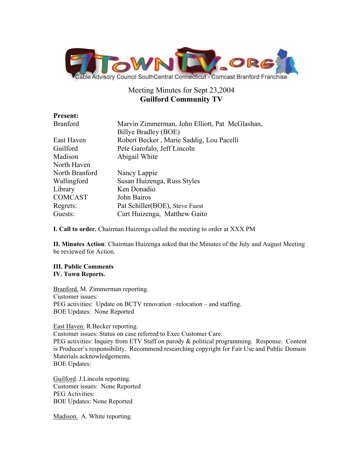

# Meeting Minutes for Sept 23,2004 **Guilford Community TV**

| <b>Present:</b> |                                                |
|-----------------|------------------------------------------------|
| Branford        | Marvin Zimmerman, John Elliott, Pat McGlashan, |
|                 | Billye Bradley (BOE)                           |
| East Haven      | Robert Becker, Marie Saddig, Lou Pacelli       |
| Guilford        | Pete Garofalo, Jeff Lincoln                    |
| Madison         | Abigail White                                  |
| North Haven     |                                                |
| North Branford  | Nancy Lappie                                   |
| Wallingford     | Susan Huizenga, Russ Styles                    |
| Library         | Ken Donadio                                    |
| <b>COMCAST</b>  | John Bairos                                    |
| Regrets:        | Pat Schiller (BOE), Steve Fuest                |
| Guests:         | Curt Huizenga, Matthew Gaito                   |
|                 |                                                |

**I. Call to order.** Chairman Huizenga called the meeting to order at XXX PM

**II. Minutes Action**: Chairman Huizenga asked that the Minutes of the July and August Meeting be reviewed for Action.

## **III. Public Comments IV. Town Reports.**

Branford. M. Zimmerman reporting. Customer issues: PEG activities: Update on BCTV renovation –relocation – and staffing. BOE Updates: None Reported

East Haven. R.Becker reporting.

Customer issues: Status on case referred to Exec Customer Care.

PEG activities: Inquiry from ETV Staff on parody & political programming. Response: Content is Producer's responsibility. Recommend researching copyright for Fair Use and Public Domain Materials acknowledgements.

BOE Updates:

Guilford. J.Lincoln reporting. Customer issues: None Reported PEG Activities: BOE Updates: None Reported

Madison. A. White reporting.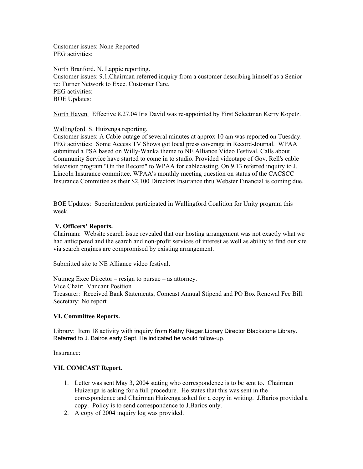Customer issues: None Reported PEG activities:

North Branford. N. Lappie reporting. Customer issues: 9.1.Chairman referred inquiry from a customer describing himself as a Senior re: Turner Network to Exec. Customer Care. PEG activities: BOE Updates:

North Haven. Effective 8.27.04 Iris David was re-appointed by First Selectman Kerry Kopetz.

## Wallingford. S. Huizenga reporting.

Customer issues: A Cable outage of several minutes at approx 10 am was reported on Tuesday. PEG activities: Some Access TV Shows got local press coverage in Record-Journal. WPAA submitted a PSA based on Willy-Wanka theme to NE Alliance Video Festival. Calls about Community Service have started to come in to studio. Provided videotape of Gov. Rell's cable television program "On the Record" to WPAA for cablecasting. On 9.13 referred inquiry to J. Lincoln Insurance committee. WPAA's monthly meeting question on status of the CACSCC Insurance Committee as their \$2,100 Directors Insurance thru Webster Financial is coming due.

BOE Updates: Superintendent participated in Wallingford Coalition for Unity program this week.

## **V. Officers' Reports.**

Chairman: Website search issue revealed that our hosting arrangement was not exactly what we had anticipated and the search and non-profit services of interest as well as ability to find our site via search engines are compromised by existing arrangement.

Submitted site to NE Alliance video festival.

Nutmeg Exec Director – resign to pursue – as attorney. Vice Chair: Vancant Position Treasurer: Received Bank Statements, Comcast Annual Stipend and PO Box Renewal Fee Bill. Secretary: No report

#### **VI. Committee Reports.**

Library: Item 18 activity with inquiry from Kathy Rieger,Library Director Blackstone Library. Referred to J. Bairos early Sept. He indicated he would follow-up.

Insurance:

# **VII. COMCAST Report.**

- 1. Letter was sent May 3, 2004 stating who correspondence is to be sent to. Chairman Huizenga is asking for a full procedure. He states that this was sent in the correspondence and Chairman Huizenga asked for a copy in writing. J.Barios provided a copy. Policy is to send correspondence to J.Barios only.
- 2. A copy of 2004 inquiry log was provided.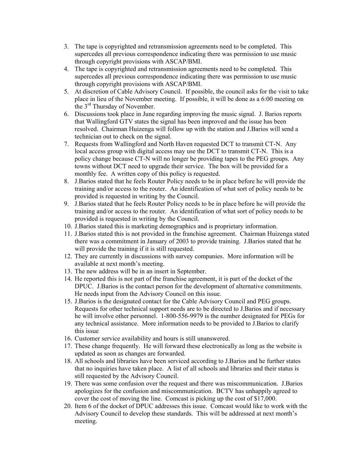- 3. The tape is copyrighted and retransmission agreements need to be completed. This supercedes all previous correspondence indicating there was permission to use music through copyright provisions with ASCAP/BMI.
- 4. The tape is copyrighted and retransmission agreements need to be completed. This supercedes all previous correspondence indicating there was permission to use music through copyright provisions with ASCAP/BMI.
- 5. At discretion of Cable Advisory Council. If possible, the council asks for the visit to take place in lieu of the November meeting. If possible, it will be done as a 6:00 meeting on the 3rd Thursday of November.
- 6. Discussions took place in June regarding improving the music signal. J. Barios reports that Wallingford GTV states the signal has been improved and the issue has been resolved. Chairman Huizenga will follow up with the station and J.Barios will send a technician out to check on the signal.
- 7. Requests from Wallingford and North Haven requested DCT to transmit CT-N. Any local access group with digital access may use the DCT to transmit CT-N. This is a policy change because CT-N will no longer be providing tapes to the PEG groups. Any towns without DCT need to upgrade their service. The box will be provided for a monthly fee. A written copy of this policy is requested.
- 8. J.Barios stated that he feels Router Policy needs to be in place before he will provide the training and/or access to the router. An identification of what sort of policy needs to be provided is requested in writing by the Council.
- 9. J.Barios stated that he feels Router Policy needs to be in place before he will provide the training and/or access to the router. An identification of what sort of policy needs to be provided is requested in writing by the Council.
- 10. J.Barios stated this is marketing demographics and is proprietary information.
- 11. J.Barios stated this is not provided in the franchise agreement. Chairman Huizenga stated there was a commitment in January of 2003 to provide training. J.Barios stated that he will provide the training if it is still requested.
- 12. They are currently in discussions with survey companies. More information will be available at next month's meeting.
- 13. The new address will be in an insert in September.
- 14. He reported this is not part of the franchise agreement, it is part of the docket of the DPUC. J.Barios is the contact person for the development of alternative commitments. He needs input from the Advisory Council on this issue.
- 15. J.Barios is the designated contact for the Cable Advisory Council and PEG groups. Requests for other technical support needs are to be directed to J.Barios and if necessary he will involve other personnel. 1-800-556-9979 is the number designated for PEGs for any technical assistance. More information needs to be provided to J.Barios to clarify this issue
- 16. Customer service availability and hours is still unanswered.
- 17. These change frequently. He will forward these electronically as long as the website is updated as soon as changes are forwarded.
- 18. All schools and libraries have been serviced according to J.Barios and he further states that no inquiries have taken place. A list of all schools and libraries and their status is still requested by the Advisory Council.
- 19. There was some confusion over the request and there was miscommunication. J.Barios apologizes for the confusion and miscommunication. BCTV has unhappily agreed to cover the cost of moving the line. Comcast is picking up the cost of \$17,000.
- 20. Item 6 of the docket of DPUC addresses this issue. Comcast would like to work with the Advisory Council to develop these standards. This will be addressed at next month's meeting.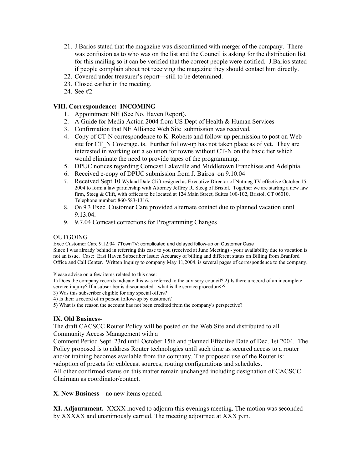- 21. J.Barios stated that the magazine was discontinued with merger of the company. There was confusion as to who was on the list and the Council is asking for the distribution list for this mailing so it can be verified that the correct people were notified. J.Barios stated if people complain about not receiving the magazine they should contact him directly.
- 22. Covered under treasurer's report—still to be determined.
- 23. Closed earlier in the meeting.
- 24. See #2

# **VIII. Correspondence: INCOMING**

- 1. Appointment NH **(**See No. Haven Report).
- 2. A Guide for Media Action 2004 from US Dept of Health & Human Services
- 3. Confirmation that NE Alliance Web Site submission was received.
- 4. Copy of CT-N correspondence to K. Roberts and follow-up permission to post on Web site for CT\_N Coverage. ts. Further follow-up has not taken place as of yet. They are interested in working out a solution for towns without CT-N on the basic tier which would eliminate the need to provide tapes of the programming.
- 5. DPUC notices regarding Comcast Lakeville and Middletown Franchises and Adelphia.
- 6. Received e-copy of DPUC submission from J. Bairos on 9.10.04
- 7. Received Sept 10 Wyland Dale Clift resigned as Executive Director of Nutmeg TV effective October 15, 2004 to form a law partnership with Attorney Jeffrey R. Steeg of Bristol. Together we are starting a new law firm, Steeg & Clift, with offices to be located at 124 Main Street, Suites 100-102, Bristol, CT 06010. Telephone number: 860-583-1316.
- 8. On 9.3 Exec. Customer Care provided alternate contact due to planned vacation until 9.13.04.
- 9. 9.7.04 Comcast corrections for Programming Changes

## OUTGOING

Exec Customer Care 9.12.04 7TownTV: complicated and delayed follow-up on Customer Case Since I was already behind in referring this case to you (received at June Meeting) - your availability due to vacation is not an issue. Case: East Haven Subscriber Issue: Accuracy of billing and different status on Billing from Branford Office and Call Center. Written Inquiry to company May 11,2004. is several pages of correspondence to the company.

Please advise on a few items related to this case:

1) Does the company records indicate this was referred to the advisory council? 2) Is there a record of an incomplete service inquiry? If a subscriber is disconnected - what is the service procedure>?

3) Was this subscriber eligible for any special offers?

4) Is their a record of in person follow-up by customer?

5) What is the reason the account has not been credited from the company's perspective?

## **IX. Old Business**-

The draft CACSCC Router Policy will be posted on the Web Site and distributed to all Community Access Management with a

Comment Period Sept. 23rd until October 15th and planned Effective Date of Dec. 1st 2004. The Policy proposed is to address Router technologies until such time as secured access to a router and/or training becomes available from the company. The proposed use of the Router is: •adoption of presets for cablecast sources, routing configurations and schedules.

All other confirmed status on this matter remain unchanged including designation of CACSCC Chairman as coordinator/contact.

**X. New Business** – no new items opened.

**XI. Adjournment.** XXXX moved to adjourn this evenings meeting. The motion was seconded by XXXXX and unanimously carried. The meeting adjourned at XXX p.m.